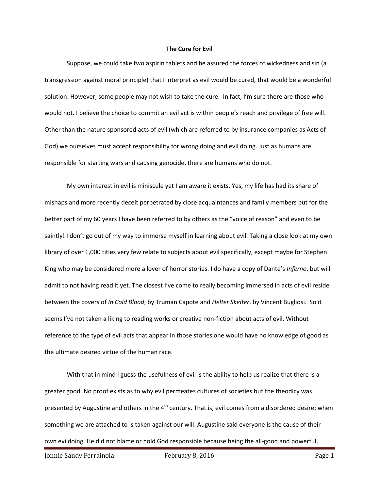## **The Cure for Evil**

Suppose, we could take two aspirin tablets and be assured the forces of wickedness and sin (a transgression against moral principle) that I interpret as evil would be cured, that would be a wonderful solution. However, some people may not wish to take the cure. In fact, I'm sure there are those who would not. I believe the choice to commit an evil act is within people's reach and privilege of free will. Other than the nature sponsored acts of evil (which are referred to by insurance companies as Acts of God) we ourselves must accept responsibility for wrong doing and evil doing. Just as humans are responsible for starting wars and causing genocide, there are humans who do not.

My own interest in evil is miniscule yet I am aware it exists. Yes, my life has had its share of mishaps and more recently deceit perpetrated by close acquaintances and family members but for the better part of my 60 years I have been referred to by others as the "voice of reason" and even to be saintly! I don't go out of my way to immerse myself in learning about evil. Taking a close look at my own library of over 1,000 titles very few relate to subjects about evil specifically, except maybe for Stephen King who may be considered more a lover of horror stories. I do have a copy of Dante's *Inferno*, but will admit to not having read it yet. The closest I've come to really becoming immersed in acts of evil reside between the covers of *In Cold Blood*, by Truman Capote and *Helter Skelter*, by Vincent Bugliosi. So it seems I've not taken a liking to reading works or creative non-fiction about acts of evil. Without reference to the type of evil acts that appear in those stories one would have no knowledge of good as the ultimate desired virtue of the human race.

With that in mind I guess the usefulness of evil is the ability to help us realize that there is a greater good. No proof exists as to why evil permeates cultures of societies but the theodicy was presented by Augustine and others in the  $4<sup>th</sup>$  century. That is, evil comes from a disordered desire; when something we are attached to is taken against our will. Augustine said everyone is the cause of their own evildoing. He did not blame or hold God responsible because being the all-good and powerful,

Jonnie Sandy Ferrainola **February 8, 2016** Page 1